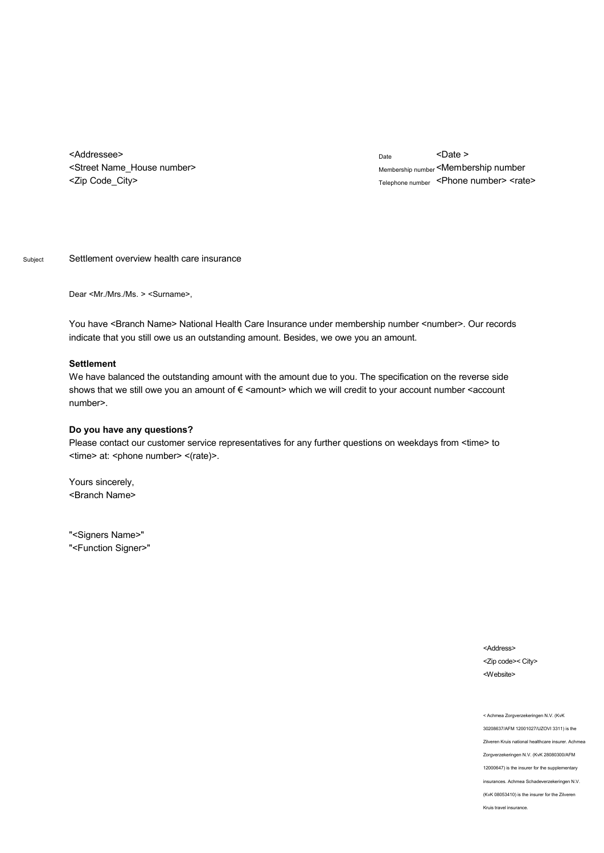<Addressee> <Street Name\_House number> <Zip Code\_City>

Date <Date > Membership number <Membership number Telephone number <Phone number> <rate>

Subject Settlement overview health care insurance

Dear <Mr./Mrs./Ms. > <Surname>,

You have <Branch Name> National Health Care Insurance under membership number <number>. Our records indicate that you still owe us an outstanding amount. Besides, we owe you an amount.

## **Settlement**

We have balanced the outstanding amount with the amount due to you. The specification on the reverse side shows that we still owe you an amount of € <amount> which we will credit to your account number <account number>.

## **Do you have any questions?**

Please contact our customer service representatives for any further questions on weekdays from <time> to <time> at: <phone number> <(rate)>.

Yours sincerely, <Branch Name>

"<Signers Name>" "<Function Signer>"

> <Address> <Zip code>< City> <Website>

< Achmea Zorgverzekeringen N.V. (KvK 30208637/AFM 12001027/UZOVI 3311) is the Zilveren Kruis national healthcare insurer. Achmea Zorgverzekeringen N.V. (KvK 28080300/AFM 12000647) is the insurer for the supplementary insurances. Achmea Schadeverzekeringen N.V. (KvK 08053410) is the insurer for the Zilveren Kruis travel insurance.